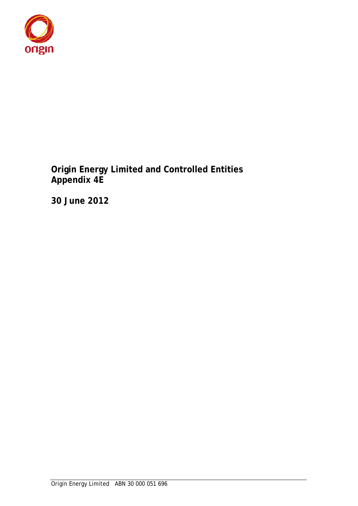

**Origin Energy Limited and Controlled Entities Appendix 4E** 

**30 June 2012**